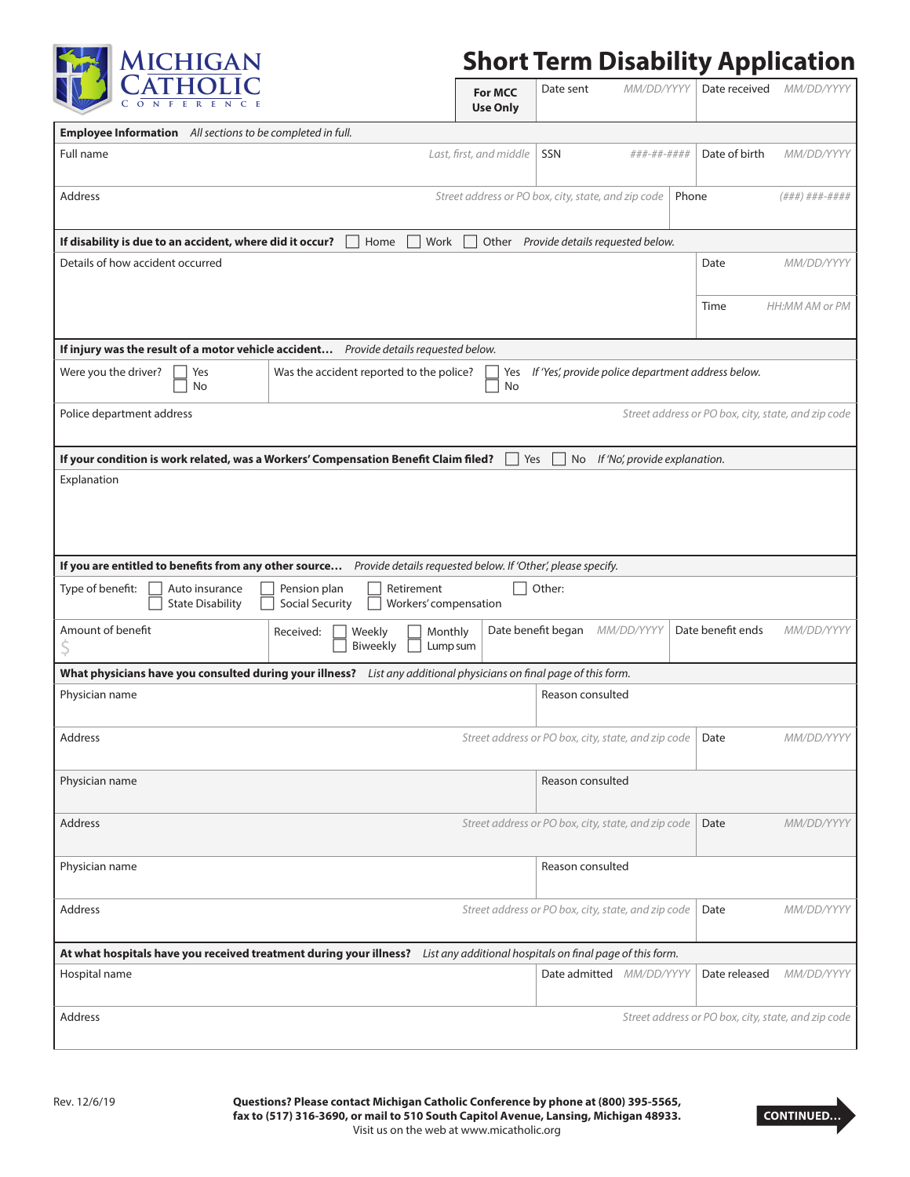

## **Short Term Disability Application**

| $C$ $Q$ $N$ $F$                                                                                                                                          |                                                                                                                 | <b>For MCC</b><br><b>Use Only</b> | Date sent                                           | MM/DD/YYYY                    | Date received                                       | MM/DD/YYYY     |
|----------------------------------------------------------------------------------------------------------------------------------------------------------|-----------------------------------------------------------------------------------------------------------------|-----------------------------------|-----------------------------------------------------|-------------------------------|-----------------------------------------------------|----------------|
| Employee Information All sections to be completed in full.                                                                                               |                                                                                                                 |                                   |                                                     |                               |                                                     |                |
| Full name                                                                                                                                                | Last, first, and middle                                                                                         | SSN                               | ###-##-####                                         | Date of birth                 | MM/DD/YYYY                                          |                |
| <b>Address</b>                                                                                                                                           |                                                                                                                 |                                   | Street address or PO box, city, state, and zip code |                               | Phone                                               | (###) ###-#### |
| If disability is due to an accident, where did it occur?                                                                                                 | Home<br>Work                                                                                                    |                                   | Other Provide details requested below.              |                               |                                                     |                |
| Details of how accident occurred                                                                                                                         |                                                                                                                 |                                   |                                                     |                               | Date                                                | MM/DD/YYYY     |
|                                                                                                                                                          |                                                                                                                 |                                   |                                                     |                               | Time                                                | HH:MM AM or PM |
| If injury was the result of a motor vehicle accident Provide details requested below.                                                                    |                                                                                                                 |                                   |                                                     |                               |                                                     |                |
| Was the accident reported to the police?<br>If 'Yes', provide police department address below.<br>Were you the driver?<br>Yes<br>Yes<br><b>No</b><br>No  |                                                                                                                 |                                   |                                                     |                               |                                                     |                |
| Police department address                                                                                                                                | Street address or PO box, city, state, and zip code                                                             |                                   |                                                     |                               |                                                     |                |
| If your condition is work related, was a Workers' Compensation Benefit Claim filed?                                                                      |                                                                                                                 | Yes                               | No                                                  | If 'No', provide explanation. |                                                     |                |
| Explanation                                                                                                                                              |                                                                                                                 |                                   |                                                     |                               |                                                     |                |
| If you are entitled to benefits from any other source                                                                                                    | Provide details requested below. If 'Other', please specify.                                                    |                                   |                                                     |                               |                                                     |                |
| Pension plan<br>Retirement<br>Other:<br>Type of benefit:<br>Auto insurance<br><b>State Disability</b><br><b>Social Security</b><br>Workers' compensation |                                                                                                                 |                                   |                                                     |                               |                                                     |                |
| Amount of benefit                                                                                                                                        | Date benefit began<br>Date benefit ends<br>MM/DD/YYYY<br>Received:<br>Weekly<br>Monthly<br>Biweekly<br>Lump sum |                                   |                                                     | MM/DD/YYYY                    |                                                     |                |
| What physicians have you consulted during your illness? List any additional physicians on final page of this form.                                       |                                                                                                                 |                                   |                                                     |                               |                                                     |                |
| Physician name                                                                                                                                           |                                                                                                                 |                                   | Reason consulted                                    |                               |                                                     |                |
| Address<br>Street address or PO box, city, state, and zip code<br>Date<br>MM/DD/YYYY                                                                     |                                                                                                                 |                                   |                                                     |                               |                                                     |                |
| Physician name                                                                                                                                           |                                                                                                                 |                                   | Reason consulted                                    |                               |                                                     |                |
| Street address or PO box, city, state, and zip code<br>Address<br>Date                                                                                   |                                                                                                                 |                                   |                                                     |                               | MM/DD/YYYY                                          |                |
| Physician name                                                                                                                                           |                                                                                                                 |                                   | Reason consulted                                    |                               |                                                     |                |
| <b>Address</b><br>Street address or PO box, city, state, and zip code<br>Date                                                                            |                                                                                                                 |                                   | MM/DD/YYYY                                          |                               |                                                     |                |
| At what hospitals have you received treatment during your illness? List any additional hospitals on final page of this form.                             |                                                                                                                 |                                   |                                                     |                               |                                                     |                |
| Hospital name                                                                                                                                            |                                                                                                                 |                                   | Date admitted MM/DD/YYYY                            |                               | Date released                                       | MM/DD/YYYY     |
| <b>Address</b>                                                                                                                                           |                                                                                                                 |                                   |                                                     |                               | Street address or PO box, city, state, and zip code |                |

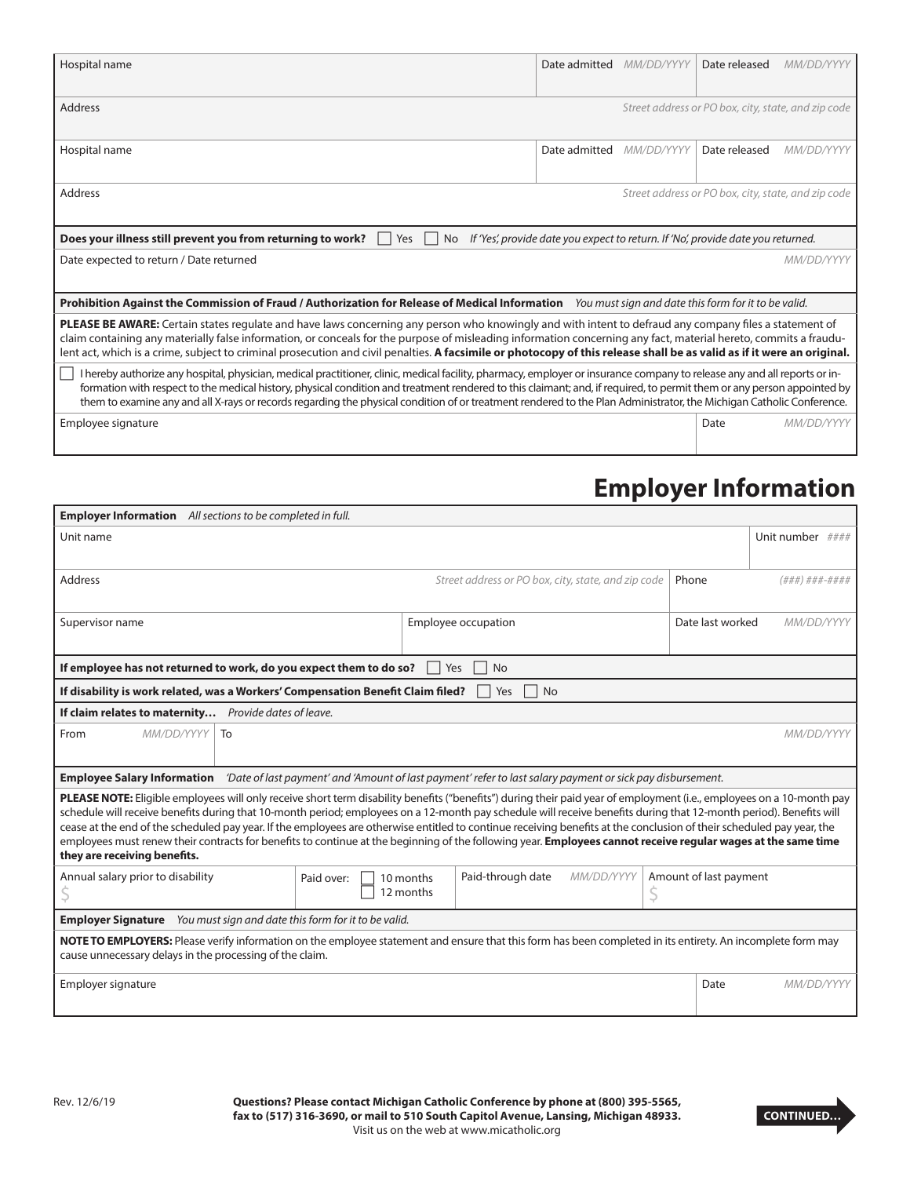| Hospital name                                                                                                                                                                                                                                                                                                                                                                                                                                                                                                               | Date admitted MM/DD/YYYY |            | Date released                                       | MM/DD/YYYY |  |
|-----------------------------------------------------------------------------------------------------------------------------------------------------------------------------------------------------------------------------------------------------------------------------------------------------------------------------------------------------------------------------------------------------------------------------------------------------------------------------------------------------------------------------|--------------------------|------------|-----------------------------------------------------|------------|--|
| Address                                                                                                                                                                                                                                                                                                                                                                                                                                                                                                                     |                          |            | Street address or PO box, city, state, and zip code |            |  |
|                                                                                                                                                                                                                                                                                                                                                                                                                                                                                                                             |                          |            |                                                     |            |  |
| Hospital name                                                                                                                                                                                                                                                                                                                                                                                                                                                                                                               | Date admitted            | MM/DD/YYYY | Date released                                       | MM/DD/YYYY |  |
| <b>Address</b>                                                                                                                                                                                                                                                                                                                                                                                                                                                                                                              |                          |            |                                                     |            |  |
| Street address or PO box, city, state, and zip code                                                                                                                                                                                                                                                                                                                                                                                                                                                                         |                          |            |                                                     |            |  |
| If 'Yes', provide date you expect to return. If 'No', provide date you returned.<br>Does your illness still prevent you from returning to work?<br>Yes<br>No.                                                                                                                                                                                                                                                                                                                                                               |                          |            |                                                     |            |  |
| Date expected to return / Date returned<br>MM/DD/YYYY                                                                                                                                                                                                                                                                                                                                                                                                                                                                       |                          |            |                                                     |            |  |
| Prohibition Against the Commission of Fraud / Authorization for Release of Medical Information You must sign and date this form for it to be valid.                                                                                                                                                                                                                                                                                                                                                                         |                          |            |                                                     |            |  |
| PLEASE BE AWARE: Certain states regulate and have laws concerning any person who knowingly and with intent to defraud any company files a statement of                                                                                                                                                                                                                                                                                                                                                                      |                          |            |                                                     |            |  |
| claim containing any materially false information, or conceals for the purpose of misleading information concerning any fact, material hereto, commits a fraudu-<br>lent act, which is a crime, subject to criminal prosecution and civil penalties. A facsimile or photocopy of this release shall be as valid as if it were an original.                                                                                                                                                                                  |                          |            |                                                     |            |  |
| I hereby authorize any hospital, physician, medical practitioner, clinic, medical facility, pharmacy, employer or insurance company to release any and all reports or in-<br>formation with respect to the medical history, physical condition and treatment rendered to this claimant; and, if required, to permit them or any person appointed by<br>them to examine any and all X-rays or records regarding the physical condition of or treatment rendered to the Plan Administrator, the Michigan Catholic Conference. |                          |            |                                                     |            |  |
| Employee signature                                                                                                                                                                                                                                                                                                                                                                                                                                                                                                          |                          |            | Date                                                | MM/DD/YYYY |  |

## **Employer Information**

| <b>Employer Information</b> All sections to be completed in full.                                                                                                                                                                                                                                                                                                                                                                                                                                                                                                                                                                                                                                                     |                                      |                                                              |                  |                        |                                |  |  |
|-----------------------------------------------------------------------------------------------------------------------------------------------------------------------------------------------------------------------------------------------------------------------------------------------------------------------------------------------------------------------------------------------------------------------------------------------------------------------------------------------------------------------------------------------------------------------------------------------------------------------------------------------------------------------------------------------------------------------|--------------------------------------|--------------------------------------------------------------|------------------|------------------------|--------------------------------|--|--|
| Unit name                                                                                                                                                                                                                                                                                                                                                                                                                                                                                                                                                                                                                                                                                                             |                                      |                                                              |                  |                        | Unit number $\# \# \#$         |  |  |
| <b>Address</b>                                                                                                                                                                                                                                                                                                                                                                                                                                                                                                                                                                                                                                                                                                        |                                      | Street address or PO box, city, state, and zip code<br>Phone |                  |                        | (###)###-####                  |  |  |
| Supervisor name                                                                                                                                                                                                                                                                                                                                                                                                                                                                                                                                                                                                                                                                                                       |                                      | Employee occupation                                          |                  |                        | Date last worked<br>MM/DD/YYYY |  |  |
| If employee has not returned to work, do you expect them to do so?                                                                                                                                                                                                                                                                                                                                                                                                                                                                                                                                                                                                                                                    |                                      | Yes<br><b>No</b>                                             |                  |                        |                                |  |  |
| If disability is work related, was a Workers' Compensation Benefit Claim filed?<br>Yes<br><b>No</b>                                                                                                                                                                                                                                                                                                                                                                                                                                                                                                                                                                                                                   |                                      |                                                              |                  |                        |                                |  |  |
| If claim relates to maternity Provide dates of leave.                                                                                                                                                                                                                                                                                                                                                                                                                                                                                                                                                                                                                                                                 |                                      |                                                              |                  |                        |                                |  |  |
| MM/DD/YYYY<br>From<br>To<br>MM/DD/YYYY                                                                                                                                                                                                                                                                                                                                                                                                                                                                                                                                                                                                                                                                                |                                      |                                                              |                  |                        |                                |  |  |
| Employee Salary Information <i>Date of last payment' and 'Amount of last payment' refer to last salary payment or sick pay disbursement.</i>                                                                                                                                                                                                                                                                                                                                                                                                                                                                                                                                                                          |                                      |                                                              |                  |                        |                                |  |  |
| PLEASE NOTE: Eligible employees will only receive short term disability benefits ("benefits") during their paid year of employment (i.e., employees on a 10-month pay<br>schedule will receive benefits during that 10-month period; employees on a 12-month pay schedule will receive benefits during that 12-month period). Benefits will<br>cease at the end of the scheduled pay year. If the employees are otherwise entitled to continue receiving benefits at the conclusion of their scheduled pay year, the<br>employees must renew their contracts for benefits to continue at the beginning of the following year. Employees cannot receive regular wages at the same time<br>they are receiving benefits. |                                      |                                                              |                  |                        |                                |  |  |
| Annual salary prior to disability                                                                                                                                                                                                                                                                                                                                                                                                                                                                                                                                                                                                                                                                                     | Paid over:<br>10 months<br>12 months | Paid-through date                                            | MM/DD/YYYY<br>\$ | Amount of last payment |                                |  |  |
| You must sign and date this form for it to be valid.<br><b>Employer Signature</b>                                                                                                                                                                                                                                                                                                                                                                                                                                                                                                                                                                                                                                     |                                      |                                                              |                  |                        |                                |  |  |
| NOTE TO EMPLOYERS: Please verify information on the employee statement and ensure that this form has been completed in its entirety. An incomplete form may<br>cause unnecessary delays in the processing of the claim.                                                                                                                                                                                                                                                                                                                                                                                                                                                                                               |                                      |                                                              |                  |                        |                                |  |  |
| Employer signature                                                                                                                                                                                                                                                                                                                                                                                                                                                                                                                                                                                                                                                                                                    |                                      |                                                              |                  | Date                   | MM/DD/YYYY                     |  |  |